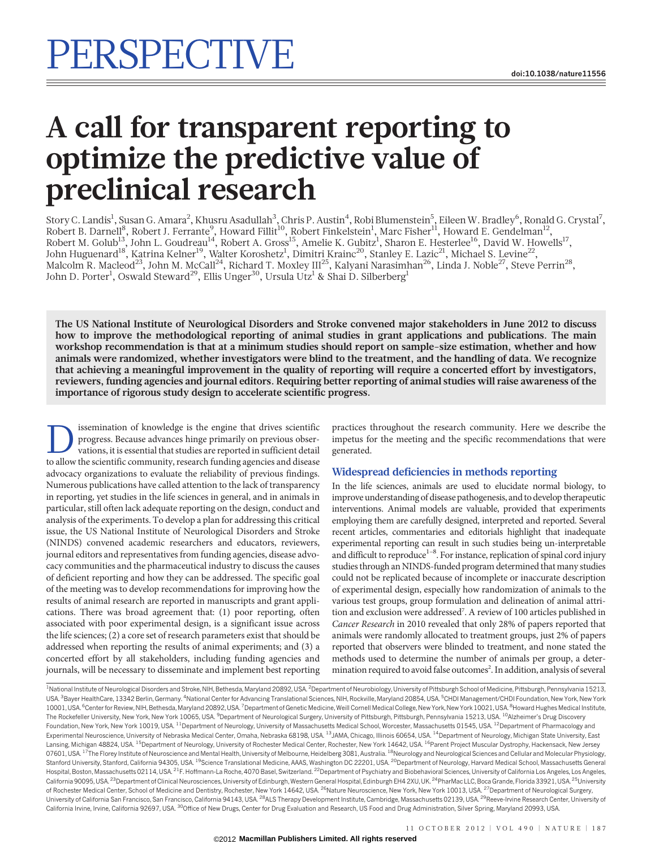# A call for transparent reporting to optimize the predictive value of preclinical research

Story C. Landis<sup>1</sup>, Susan G. Amara<sup>2</sup>, Khusru Asadullah<sup>3</sup>, Chris P. Austin<sup>4</sup>, Robi Blumenstein<sup>5</sup>, Eileen W. Bradley<sup>6</sup>, Ronald G. Crystal<sup>7</sup>, Robert B. Darnell<sup>8</sup>, Robert J. Ferrante<sup>9</sup>, Howard Fillit<sup>10</sup>, Robert Finkelstein<sup>1</sup>, Marc Fisher<sup>11</sup>, Howard E. Gendelman<sup>12</sup>, Robert M. Golub $^{13}$ , John L. Goudreau $^{14}$ , Robert A. Gross $^{15}$ , Amelie K. Gubitz $^1$ , Sharon E. Hesterlee $^{16}$ , David W. Howells $^{17}$ , John Huguenard<sup>18</sup>, Katrina Kelner<sup>19</sup>, Walter Koroshetz<sup>1</sup>, Dimitri Krainc<sup>20</sup>, Stanley E. Lazic<sup>21</sup>, Michael S. Levine<sup>22</sup>, Malcolm R. Macleod $^{23}$ , John M. McCall $^{24}$ , Richard T. Moxley III $^{25}$ , Kalyani Narasimhan $^{26}$ , Linda J. Noble $^{27}$ , Steve Perrin $^{28},$ John D. Porter<sup>1</sup>, Oswald Steward<sup>29</sup>, Ellis Unger<sup>30</sup>, Ursula Utz<sup>1</sup> & Shai D. Silberberg<sup>1</sup>

The US National Institute of Neurological Disorders and Stroke convened major stakeholders in June 2012 to discuss how to improve the methodological reporting of animal studies in grant applications and publications. The main workshop recommendation is that at a minimum studies should report on sample-size estimation, whether and how animals were randomized, whether investigators were blind to the treatment, and the handling of data. We recognize that achieving a meaningful improvement in the quality of reporting will require a concerted effort by investigators, reviewers, funding agencies and journal editors. Requiring better reporting of animal studies will raise awareness of the importance of rigorous study design to accelerate scientific progress.

**DEN** issemination of knowledge is the engine that drives scientific<br>progress. Because advances hinge primarily on previous observations, it is essential that studies are reported in sufficient detail<br>to allow the scientif progress. Because advances hinge primarily on previous observations, it is essential that studies are reported in sufficient detail to allow the scientific community, research funding agencies and disease advocacy organizations to evaluate the reliability of previous findings. Numerous publications have called attention to the lack of transparency in reporting, yet studies in the life sciences in general, and in animals in particular, still often lack adequate reporting on the design, conduct and analysis of the experiments. To develop a plan for addressing this critical issue, the US National Institute of Neurological Disorders and Stroke (NINDS) convened academic researchers and educators, reviewers, journal editors and representatives from funding agencies, disease advocacy communities and the pharmaceutical industry to discuss the causes of deficient reporting and how they can be addressed. The specific goal of the meeting was to develop recommendations for improving how the results of animal research are reported in manuscripts and grant applications. There was broad agreement that: (1) poor reporting, often associated with poor experimental design, is a significant issue across the life sciences; (2) a core set of research parameters exist that should be addressed when reporting the results of animal experiments; and (3) a concerted effort by all stakeholders, including funding agencies and journals, will be necessary to disseminate and implement best reporting

practices throughout the research community. Here we describe the impetus for the meeting and the specific recommendations that were generated.

#### Widespread deficiencies in methods reporting

In the life sciences, animals are used to elucidate normal biology, to improve understanding of disease pathogenesis, and to develop therapeutic interventions. Animal models are valuable, provided that experiments employing them are carefully designed, interpreted and reported. Several recent articles, commentaries and editorials highlight that inadequate experimental reporting can result in such studies being un-interpretable and difficult to reproduce<sup>1-8</sup>. For instance, replication of spinal cord injury studies through an NINDS-funded program determined that many studies could not be replicated because of incomplete or inaccurate description of experimental design, especially how randomization of animals to the various test groups, group formulation and delineation of animal attrition and exclusion were addressed<sup>7</sup>. A review of 100 articles published in Cancer Research in 2010 revealed that only 28% of papers reported that animals were randomly allocated to treatment groups, just 2% of papers reported that observers were blinded to treatment, and none stated the methods used to determine the number of animals per group, a determination required to avoid false outcomes<sup>2</sup>. In addition, analysis of several

<sup>1</sup>National Institute of Neurological Disorders and Stroke, NIH, Bethesda, Maryland 20892, USA. <sup>2</sup>Department of Neurobiology, University of Pittsburgh School of Medicine, Pittsburgh, Pennsylvania 15213 USA. <sup>3</sup>Bayer HealthCare, 13342 Berlin, Germany. <sup>4</sup>National Center for Advancing Translational Sciences, NIH, Rockville, Maryland 20854, USA. <sup>5</sup>CHDI Management/CHDI Foundation, New York, New York, New York 10001, USA. <sup>6</sup>Center for Review, NIH, Bethesda, Maryland 20892, USA. <sup>7</sup>Department of Genetic Medicine, Weill Cornell Medical College, New York, New York 10021, USA. <sup>8</sup>Howard Hughes Medical Institute, The Rockefeller University, New York, New York 10065, USA. <sup>9</sup>Department of Neurological Surgery, University of Pittsburgh, Pittsburgh, Pennsylvania 15213, USA. <sup>10</sup>Alzheimer's Drug Discovery Foundation, New York, New York 10019, USA. <sup>11</sup>Department of Neurology, University of Massachusetts Medical School, Worcester, Massachusetts 01545, USA. <sup>12</sup>Department of Pharmacology and Experimental Neuroscience, University of Nebraska Medical Center, Omaha, Nebraska 68198, USA. <sup>13</sup>JAMA, Chicago, Illinois 60654, USA. <sup>14</sup>Department of Neurology, Michigan State University, East Lansing, Michigan 48824, USA. <sup>15</sup>Department of Neurology, University of Rochester Medical Center, Rochester, New York 14642, USA. <sup>16</sup>Parent Project Muscular Dystrophy, Hackensack, New Jersey 07601, USA. <sup>17</sup>The Florey Institute of Neuroscience and Mental Health, University of Melbourne, Heidelberg 3081, Australia. <sup>18</sup>Neurology and Neurological Sciences and Cellular and Molecular Physiology, Stanford University, Stanford, California 94305, USA. <sup>19</sup>Science Translational Medicine, AAAS, Washington DC 22201, USA. <sup>20</sup>Department of Neurology, Harvard Medical School, Massachusetts Genera Hospital, Boston, Massachusetts 02114, USA.<sup>21</sup>F. Hoffmann-La Roche, 4070 Basel, Switzerland. <sup>22</sup>Department of Psychiatry and Biobehavioral Sciences, University of California Los Angeles, Los Angeles, Los Angeles, California 90095, USA. <sup>23</sup>Department of Clinical Neurosciences, University of Edinburgh, Western General Hospital, Edinburgh EH4 2XU, UK. <sup>24</sup>PharMac LLC, Boca Grande, Florida 33921, USA. <sup>25</sup>University of Rochester Medical Center, School of Medicine and Dentistry, Rochester, New York 14642, USA. 26Nature Neuroscience, New York, New York 10013, USA. 27Department of Neurological Surgery, University of California San Francisco, San Francisco, California 94143, USA. <sup>28</sup>ALS Therapy Development Institute, Cambridge, Massachusetts 02139, USA. <sup>29</sup>Reeve-Irvine Research Center, University of California Irvine, Irvine, California 92697, USA. <sup>30</sup>Office of New Drugs, Center for Drug Evaluation and Research, US Food and Drug Administration, Silver Spring, Maryland 20993, USA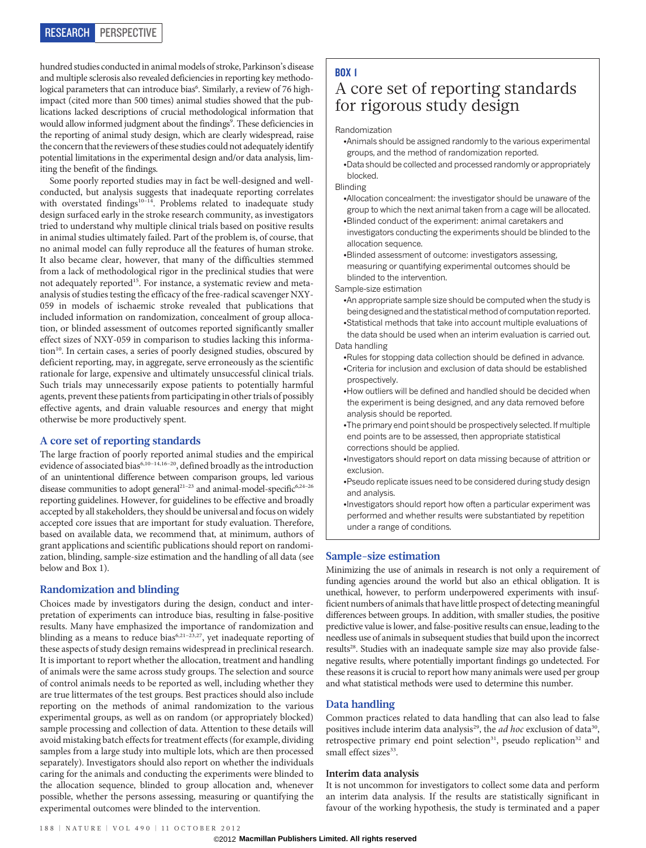hundred studies conducted in animal models of stroke, Parkinson's disease and multiple sclerosis also revealed deficiencies in reporting key methodological parameters that can introduce bias<sup>6</sup>. Similarly, a review of 76 highimpact (cited more than 500 times) animal studies showed that the publications lacked descriptions of crucial methodological information that would allow informed judgment about the findings<sup>9</sup>. These deficiencies in the reporting of animal study design, which are clearly widespread, raise the concern that the reviewers of these studies could not adequately identify potential limitations in the experimental design and/or data analysis, limiting the benefit of the findings.

Some poorly reported studies may in fact be well-designed and wellconducted, but analysis suggests that inadequate reporting correlates with overstated findings $10^{-14}$ . Problems related to inadequate study design surfaced early in the stroke research community, as investigators tried to understand why multiple clinical trials based on positive results in animal studies ultimately failed. Part of the problem is, of course, that no animal model can fully reproduce all the features of human stroke. It also became clear, however, that many of the difficulties stemmed from a lack of methodological rigor in the preclinical studies that were not adequately reported<sup>15</sup>. For instance, a systematic review and metaanalysis of studies testing the efficacy of the free-radical scavenger NXY-059 in models of ischaemic stroke revealed that publications that included information on randomization, concealment of group allocation, or blinded assessment of outcomes reported significantly smaller effect sizes of NXY-059 in comparison to studies lacking this information<sup>10</sup>. In certain cases, a series of poorly designed studies, obscured by deficient reporting, may, in aggregate, serve erroneously as the scientific rationale for large, expensive and ultimately unsuccessful clinical trials. Such trials may unnecessarily expose patients to potentially harmful agents, prevent these patients from participating in other trials of possibly effective agents, and drain valuable resources and energy that might otherwise be more productively spent.

# A core set of reporting standards

The large fraction of poorly reported animal studies and the empirical evidence of associated bias<sup>6,10-14,16-20</sup>, defined broadly as the introduction of an unintentional difference between comparison groups, led various disease communities to adopt general<sup>21-23</sup> and animal-model-specific<sup>6,24-26</sup> reporting guidelines. However, for guidelines to be effective and broadly accepted by all stakeholders, they should be universal and focus on widely accepted core issues that are important for study evaluation. Therefore, based on available data, we recommend that, at minimum, authors of grant applications and scientific publications should report on randomization, blinding, sample-size estimation and the handling of all data (see below and Box 1).

# Randomization and blinding

Choices made by investigators during the design, conduct and interpretation of experiments can introduce bias, resulting in false-positive results. Many have emphasized the importance of randomization and blinding as a means to reduce bias<sup>6,21-23,27</sup>, yet inadequate reporting of these aspects of study design remains widespread in preclinical research. It is important to report whether the allocation, treatment and handling of animals were the same across study groups. The selection and source of control animals needs to be reported as well, including whether they are true littermates of the test groups. Best practices should also include reporting on the methods of animal randomization to the various experimental groups, as well as on random (or appropriately blocked) sample processing and collection of data. Attention to these details will avoid mistaking batch effects for treatment effects (for example, dividing samples from a large study into multiple lots, which are then processed separately). Investigators should also report on whether the individuals caring for the animals and conducting the experiments were blinded to the allocation sequence, blinded to group allocation and, whenever possible, whether the persons assessing, measuring or quantifying the experimental outcomes were blinded to the intervention.

# BOX 1

# A core set of reporting standards for rigorous study design

#### Randomization

- Animals should be assigned randomly to the various experimental groups, and the method of randomization reported.
- Data should be collected and processed randomly or appropriately blocked.
- Blinding

• Allocation concealment: the investigator should be unaware of the group to which the next animal taken from a cage will be allocated. •Blinded conduct of the experiment: animal caretakers and

investigators conducting the experiments should be blinded to the allocation sequence.

•Blinded assessment of outcome: investigators assessing, measuring or quantifying experimental outcomes should be blinded to the intervention.

Sample-size estimation

• An appropriate sample size should be computed when the study is being designed and the statistical method of computation reported. • Statistical methods that take into account multiple evaluations of

the data should be used when an interim evaluation is carried out. Data handling

- •Rules for stopping data collection should be defined in advance. • Criteria for inclusion and exclusion of data should be established prospectively.
- How outliers will be defined and handled should be decided when the experiment is being designed, and any data removed before analysis should be reported.
- •The primary end point should be prospectively selected. If multiple end points are to be assessed, then appropriate statistical corrections should be applied.
- Investigators should report on data missing because of attrition or exclusion.
- Pseudo replicate issues need to be considered during study design and analysis.
- Investigators should report how often a particular experiment was performed and whether results were substantiated by repetition under a range of conditions.

# Sample-size estimation

Minimizing the use of animals in research is not only a requirement of funding agencies around the world but also an ethical obligation. It is unethical, however, to perform underpowered experiments with insufficient numbers of animals that have little prospect of detecting meaningful differences between groups. In addition, with smaller studies, the positive predictive value is lower, and false-positive results can ensue, leading to the needless use of animals in subsequent studies that build upon the incorrect results<sup>28</sup>. Studies with an inadequate sample size may also provide falsenegative results, where potentially important findings go undetected. For these reasons it is crucial to report how many animals were used per group and what statistical methods were used to determine this number.

# Data handling

Common practices related to data handling that can also lead to false positives include interim data analysis<sup>29</sup>, the *ad hoc* exclusion of data<sup>30</sup>, retrospective primary end point selection<sup>31</sup>, pseudo replication<sup>32</sup> and small effect sizes<sup>33</sup>.

#### Interim data analysis

It is not uncommon for investigators to collect some data and perform an interim data analysis. If the results are statistically significant in favour of the working hypothesis, the study is terminated and a paper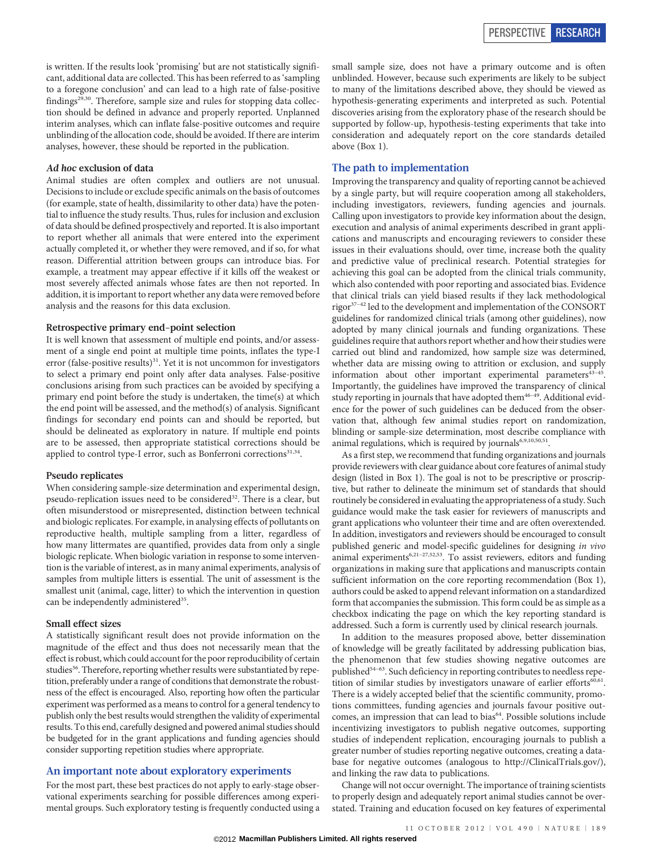is written. If the results look 'promising' but are not statistically significant, additional data are collected. This has been referred to as 'sampling to a foregone conclusion' and can lead to a high rate of false-positive findings<sup>29,30</sup>. Therefore, sample size and rules for stopping data collection should be defined in advance and properly reported. Unplanned interim analyses, which can inflate false-positive outcomes and require unblinding of the allocation code, should be avoided. If there are interim analyses, however, these should be reported in the publication.

#### Ad hoc exclusion of data

Animal studies are often complex and outliers are not unusual. Decisions to include or exclude specific animals on the basis of outcomes (for example, state of health, dissimilarity to other data) have the potential to influence the study results. Thus, rules for inclusion and exclusion of data should be defined prospectively and reported. It is also important to report whether all animals that were entered into the experiment actually completed it, or whether they were removed, and if so, for what reason. Differential attrition between groups can introduce bias. For example, a treatment may appear effective if it kills off the weakest or most severely affected animals whose fates are then not reported. In addition, it is important to report whether any data were removed before analysis and the reasons for this data exclusion.

## Retrospective primary end-point selection

It is well known that assessment of multiple end points, and/or assessment of a single end point at multiple time points, inflates the type-I error (false-positive results)<sup>31</sup>. Yet it is not uncommon for investigators to select a primary end point only after data analyses. False-positive conclusions arising from such practices can be avoided by specifying a primary end point before the study is undertaken, the time(s) at which the end point will be assessed, and the method(s) of analysis. Significant findings for secondary end points can and should be reported, but should be delineated as exploratory in nature. If multiple end points are to be assessed, then appropriate statistical corrections should be applied to control type-I error, such as Bonferroni corrections<sup>31,34</sup>.

#### Pseudo replicates

When considering sample-size determination and experimental design, pseudo-replication issues need to be considered<sup>32</sup>. There is a clear, but often misunderstood or misrepresented, distinction between technical and biologic replicates. For example, in analysing effects of pollutants on reproductive health, multiple sampling from a litter, regardless of how many littermates are quantified, provides data from only a single biologic replicate. When biologic variation in response to some intervention is the variable of interest, as in many animal experiments, analysis of samples from multiple litters is essential. The unit of assessment is the smallest unit (animal, cage, litter) to which the intervention in question can be independently administered<sup>35</sup>.

#### Small effect sizes

A statistically significant result does not provide information on the magnitude of the effect and thus does not necessarily mean that the effect is robust, which could account for the poor reproducibility of certain studies<sup>36</sup>. Therefore, reporting whether results were substantiated by repetition, preferably under a range of conditions that demonstrate the robustness of the effect is encouraged. Also, reporting how often the particular experiment was performed as a means to control for a general tendency to publish only the best results would strengthen the validity of experimental results. To this end, carefully designed and powered animal studies should be budgeted for in the grant applications and funding agencies should consider supporting repetition studies where appropriate.

# An important note about exploratory experiments

For the most part, these best practices do not apply to early-stage observational experiments searching for possible differences among experimental groups. Such exploratory testing is frequently conducted using a

small sample size, does not have a primary outcome and is often unblinded. However, because such experiments are likely to be subject to many of the limitations described above, they should be viewed as hypothesis-generating experiments and interpreted as such. Potential discoveries arising from the exploratory phase of the research should be supported by follow-up, hypothesis-testing experiments that take into consideration and adequately report on the core standards detailed above (Box 1).

#### The path to implementation

Improving the transparency and quality of reporting cannot be achieved by a single party, but will require cooperation among all stakeholders, including investigators, reviewers, funding agencies and journals. Calling upon investigators to provide key information about the design, execution and analysis of animal experiments described in grant applications and manuscripts and encouraging reviewers to consider these issues in their evaluations should, over time, increase both the quality and predictive value of preclinical research. Potential strategies for achieving this goal can be adopted from the clinical trials community, which also contended with poor reporting and associated bias. Evidence that clinical trials can yield biased results if they lack methodological rigor $^{37-42}$  led to the development and implementation of the CONSORT guidelines for randomized clinical trials (among other guidelines), now adopted by many clinical journals and funding organizations. These guidelines require that authors report whether and how their studies were carried out blind and randomized, how sample size was determined, whether data are missing owing to attrition or exclusion, and supply information about other important experimental parameters<sup>43-45</sup>. Importantly, the guidelines have improved the transparency of clinical study reporting in journals that have adopted them<sup>46-49</sup>. Additional evidence for the power of such guidelines can be deduced from the observation that, although few animal studies report on randomization, blinding or sample-size determination, most describe compliance with animal regulations, which is required by journals $6,9,10,50,51$ .

As a first step, we recommend that funding organizations and journals provide reviewers with clear guidance about core features of animal study design (listed in Box 1). The goal is not to be prescriptive or proscriptive, but rather to delineate the minimum set of standards that should routinely be considered in evaluating the appropriateness of a study. Such guidance would make the task easier for reviewers of manuscripts and grant applications who volunteer their time and are often overextended. In addition, investigators and reviewers should be encouraged to consult published generic and model-specific guidelines for designing in vivo animal experiments<sup>6,21-27,52,53</sup>. To assist reviewers, editors and funding organizations in making sure that applications and manuscripts contain sufficient information on the core reporting recommendation (Box 1), authors could be asked to append relevant information on a standardized form that accompanies the submission. This form could be as simple as a checkbox indicating the page on which the key reporting standard is addressed. Such a form is currently used by clinical research journals.

In addition to the measures proposed above, better dissemination of knowledge will be greatly facilitated by addressing publication bias, the phenomenon that few studies showing negative outcomes are published<sup>54-63</sup>. Such deficiency in reporting contributes to needless repetition of similar studies by investigators unaware of earlier efforts<sup>60,61</sup>. There is a widely accepted belief that the scientific community, promotions committees, funding agencies and journals favour positive outcomes, an impression that can lead to bias<sup>64</sup>. Possible solutions include incentivizing investigators to publish negative outcomes, supporting studies of independent replication, encouraging journals to publish a greater number of studies reporting negative outcomes, creating a database for negative outcomes (analogous to [http://ClinicalTrials.gov/](http://ClinicalTrials.gov)), and linking the raw data to publications.

Change will not occur overnight. The importance of training scientists to properly design and adequately report animal studies cannot be overstated. Training and education focused on key features of experimental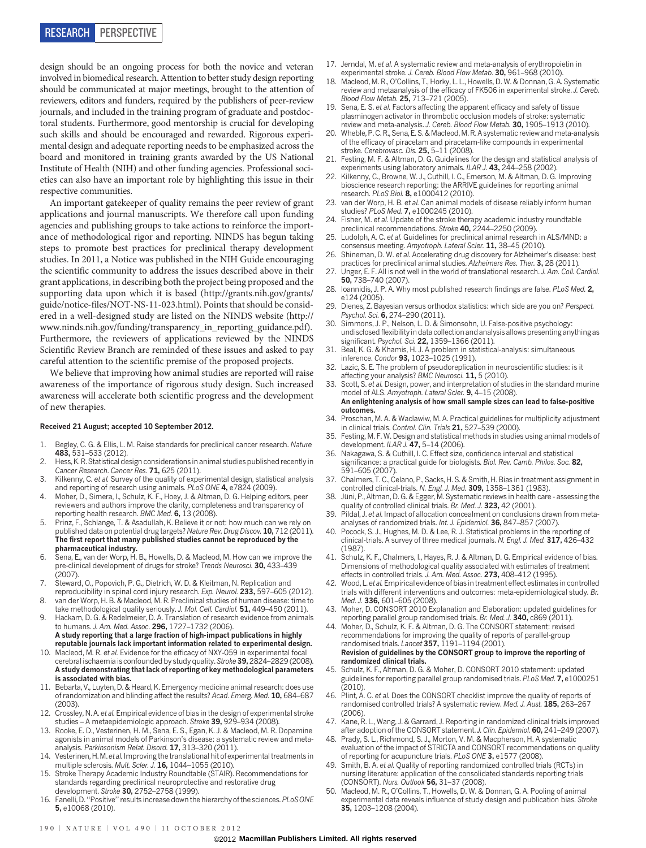design should be an ongoing process for both the novice and veteran involved in biomedical research. Attention to better study design reporting should be communicated at major meetings, brought to the attention of reviewers, editors and funders, required by the publishers of peer-review journals, and included in the training program of graduate and postdoctoral students. Furthermore, good mentorship is crucial for developing such skills and should be encouraged and rewarded. Rigorous experimental design and adequate reporting needs to be emphasized across the board and monitored in training grants awarded by the US National Institute of Health (NIH) and other funding agencies. Professional societies can also have an important role by highlighting this issue in their respective communities.

An important gatekeeper of quality remains the peer review of grant applications and journal manuscripts. We therefore call upon funding agencies and publishing groups to take actions to reinforce the importance of methodological rigor and reporting. NINDS has begun taking steps to promote best practices for preclinical therapy development studies. In 2011, a Notice was published in the NIH Guide encouraging the scientific community to address the issues described above in their grant applications, in describing both the project being proposed and the supporting data upon which it is based ([http://grants.nih.gov/grants/](http://grants.nih.gov/grants/guide/notice-files/NOT-NS-11-023.html) [guide/notice-files/NOT-NS-11-023.html\)](http://grants.nih.gov/grants/guide/notice-files/NOT-NS-11-023.html). Points that should be considered in a well-designed study are listed on the NINDS website ([http://](http://www.ninds.nih.gov/funding/transparency_in_reporting_guidance.pdf) [www.ninds.nih.gov/funding/transparency\\_in\\_reporting\\_guidance.pdf](http://www.ninds.nih.gov/funding/transparency_in_reporting_guidance.pdf)). Furthermore, the reviewers of applications reviewed by the NINDS Scientific Review Branch are reminded of these issues and asked to pay careful attention to the scientific premise of the proposed projects.

We believe that improving how animal studies are reported will raise awareness of the importance of rigorous study design. Such increased awareness will accelerate both scientific progress and the development of new therapies.

#### Received 21 August; accepted 10 September 2012.

- 1. Begley, C. G. & Ellis, L. M. Raise standards for preclinical cancer research. Nature 483, 531–533 (2012).
- 2. Hess, K. R. Statistical design considerations in animal studies published recently in Cancer Research. Cancer Res. 71, 625 (2011).
- 3. Kilkenny, C. et al. Survey of the quality of experimental design, statistical analysis and reporting of research using animals. PLoS ONE 4, e7824 (2009).
- 4. Moher, D., Simera, I., Schulz, K. F., Hoey, J. & Altman, D. G. Helping editors, peer reviewers and authors improve the clarity, completeness and transparency of reporting health research. BMC Med. 6, 13 (2008).
- 5. Prinz, F., Schlange, T. & Asadullah, K. Believe it or not: how much can we rely on published data on potential drug targets? Nature Rev. Drug Discov. 10, 712 (2011). The first report that many published studies cannot be reproduced by the pharmaceutical industry.
- 6. Sena, E., van der Worp, H. B., Howells, D. & Macleod, M. How can we improve the pre-clinical development of drugs for stroke? Trends Neurosci. 30, 433–439 (2007).
- 7. Steward, O., Popovich, P. G., Dietrich, W. D. & Kleitman, N. Replication and reproducibility in spinal cord injury research. Exp. Neurol. 233, 597-605 (2012).
- 8. van der Worp, H. B. & Macleod, M. R. Preclinical studies of human disease: time to take methodological quality seriously. J. Mol. Cell. Cardiol. 51, 449-450 (2011).
- 9. Hackam, D. G. & Redelmeier, D. A. Translation of research evidence from animals to humans. J. Am. Med. Assoc. 296, 1727-1732 (2006). A study reporting that a large fraction of high-impact publications in highly
- reputable journals lack important information related to experimental design. 10. Macleod, M. R. et al. Evidence for the efficacy of NXY-059 in experimental focal cerebral ischaemia is confounded by study quality. Stroke39, 2824–2829 (2008). A study demonstrating that lack of reporting of key methodological parameters is associated with bias.
- 11. Bebarta, V., Luyten, D. & Heard, K. Emergency medicine animal research: does use of randomization and blinding affect the results? Acad. Emerg. Med. 10, 684–687 (2003).
- 12. Crossley, N. A. et al. Empirical evidence of bias in the design of experimental stroke studies - A metaepidemiologic approach. Stroke 39, 929-934 (2008).
- 13. Rooke, E. D., Vesterinen, H. M., Sena, E. S., Egan, K. J. & Macleod, M. R. Dopamine agonists in animal models of Parkinson's disease: a systematic review and metaanalysis. Parkinsonism Relat. Disord. 17, 313-320 (2011).
- 14. Vesterinen, H.M. et al. Improving the translational hit of experimental treatments in multiple sclerosis. Mult. Scler. J. 16, 1044-1055 (2010).
- 15. Stroke Therapy Academic Industry Roundtable (STAIR). Recommendations for standards regarding preclinical neuroprotective and restorative drug development. Stroke 30, 2752-2758 (1999).
- 16. Fanelli, D. ''Positive'' results increase down the hierarchy of the sciences. PLoS ONE 5, e10068 (2010).
- 17. Jerndal, M. et al. A systematic review and meta-analysis of erythropoietin in experimental stroke. J. Cereb. Blood Flow Metab. 30, 961–968 (2010).
- 18. Macleod, M. R., O'Collins, T., Horky, L. L., Howells, D. W. & Donnan, G. A. Systematic review and metaanalysis of the efficacy of FK506 in experimental stroke. J. Cereb. Blood Flow Metab. 25, 713–721 (2005).
- 19. Sena, E. S. et al. Factors affecting the apparent efficacy and safety of tissue plasminogen activator in thrombotic occlusion models of stroke: systematic review and meta-analysis. J. Cereb. Blood Flow Metab. 30, 1905–1913 (2010).
- 20. Wheble, P. C. R., Sena, E. S. & Macleod, M. R. A systematic review and meta-analysis of the efficacy of piracetam and piracetam-like compounds in experimental stroke. Cerebrovasc. Dis. 25, 5–11 (2008).
- 21. Festing, M. F. & Altman, D. G. Guidelines for the design and statistical analysis of experiments using laboratory animals. ILAR J. 43, 244–258 (2002).
- 22. Kilkenny, C., Browne, W. J., Cuthill, I. C., Emerson, M. & Altman, D. G. Improving bioscience research reporting: the ARRIVE guidelines for reporting animal research. PLoS Biol. 8, e1000412 (2010).
- 23. van der Worp, H. B. et al. Can animal models of disease reliably inform human studies? PLoS Med. 7, e1000245 (2010).
- 24. Fisher, M. et al. Update of the stroke therapy academic industry roundtable preclinical recommendations. Stroke 40, 2244-2250 (2009).
- 25. Ludolph, A. C. et al. Guidelines for preclinical animal research in ALS/MND: a consensus meeting. Amyotroph. Lateral Scler. 11, 38–45 (2010).
- 26. Shineman, D. W. et al. Accelerating drug discovery for Alzheimer's disease: best practices for preclinical animal studies. Alzheimers Res. Ther. 3, 28 (2011).
- 27. Unger, E. F. All is not well in the world of translational research. J. Am. Coll. Cardiol. 50, 738–740 (2007).
- 28. Ioannidis, J. P. A. Why most published research findings are false. PLoS Med. 2, e124 (2005).
- 29. Dienes, Z. Bayesian versus orthodox statistics: which side are you on? Perspect. Psychol. Sci. 6, 274–290 (2011).
- 30. Simmons, J. P., Nelson, L. D. & Simonsohn, U. False-positive psychology: undisclosed flexibility in data collection and analysis allows presenting anything as significant. Psychol. Sci. 22, 1359-1366 (2011).
- 31. Beal, K. G. & Khamis, H. J. A problem in statistical-analysis: simultaneous inference. Condor 93, 1023–1025 (1991).
- 32. Lazic, S. E. The problem of pseudoreplication in neuroscientific studies: is it affecting your analysis? BMC Neurosci. 11, 5 (2010).
- 33. Scott, S. et al. Design, power, and interpretation of studies in the standard murine model of ALS. Amyotroph. Lateral Scler. 9, 4–15 (2008). An enlightening analysis of how small sample sizes can lead to false-positive outcomes.
- 34. Proschan, M. A. & Waclawiw, M. A. Practical guidelines for multiplicity adjustment<br>in clinical trials. Co*ntrol. Clin. Trial*s **21,** 527–539 (2000).
- 35. Festing, M. F. W. Design and statistical methods in studies using animal models of development. ILAR J. 47, 5–14 (2006).
- 36. Nakagawa, S. & Cuthill, I. C. Effect size, confidence interval and statistical significance: a practical guide for biologists. Biol. Rev. Camb. Philos. Soc. 82, 591–605 (2007).
- 37. Chalmers, T. C., Celano, P., Sacks, H. S. & Smith, H. Bias in treatment assignment in controlled clinical-trials. N. Engl. J. Med. 309, 1358–1361 (1983).
- 38. Jüni, P., Altman, D. G. & Egger, M. Systematic reviews in health care assessing the quality of controlled clinical trials. Br. Med. J. 323, 42 (2001).
- 39. Pildal, J. et al. Impact of allocation concealment on conclusions drawn from metaanalyses of randomized trials. Int. J. Epidemiol. 36, 847–857 (2007).
- 40. Pocock, S. J., Hughes, M. D. & Lee, R. J. Statistical problems in the reporting of clinical-trials. A survey of three medical journals. N. Engl. J. Med. 317, 426–432 (1987).
- 41. Schulz, K. F., Chalmers, I., Hayes, R. J. & Altman, D. G. Empirical evidence of bias. Dimensions of methodological quality associated with estimates of treatment effects in controlled trials. J. Am. Med. Assoc. 273, 408-412 (1995).
- Wood, L. et al. Empirical evidence of bias in treatment effect estimates in controlled trials with different interventions and outcomes: meta-epidemiological study. Br. Med. J. 336, 601-605 (2008).
- 43. Moher, D. CONSORT 2010 Explanation and Elaboration: updated guidelines for reporting parallel group randomised trials. Br. Med. J. 340, c869 (2011).
- Moher, D., Schulz, K. F. & Altman, D. G. The CONSORT statement: revised recommendations for improving the quality of reports of parallel-group randomised trials. Lancet 357,  $1191-1194$  (2001). Revision of guidelines by the CONSORT group to improve the reporting of randomized clinical trials.
- 45. Schulz, K. F., Altman, D. G. & Moher, D. CONSORT 2010 statement: updated guidelines for reporting parallel group randomised trials. PLoS Med. 7, e1000251  $(2010)$ .
- 46. Plint, A. C. et al. Does the CONSORT checklist improve the quality of reports of randomised controlled trials? A systematic review. Med. J. Aust. 185, 263–267  $(2006)$
- 47. Kane, R. L., Wang, J. & Garrard, J. Reporting in randomized clinical trials improved after adoption of the CONSORT statement. J. Clin. Epidemiol. 60, 241-249 (2007).
- 48. Prady, S. L., Richmond, S. J., Morton, V. M. & Macpherson, H. A systematic evaluation of the impact of STRICTA and CONSORT recommendations on quality of reporting for acupuncture trials. PLoS ONE 3, e1577 (2008).
- 49. Smith, B. A. et al. Quality of reporting randomized controlled trials (RCTs) in nursing literature: application of the consolidated standards reporting trials (CONSORT). Nurs. Outlook 56, 31–37 (2008).
- 50. Macleod, M. R., O'Collins, T., Howells, D. W. & Donnan, G. A. Pooling of animal experimental data reveals influence of study design and publication bias. Stroke 35, 1203–1208 (2004).